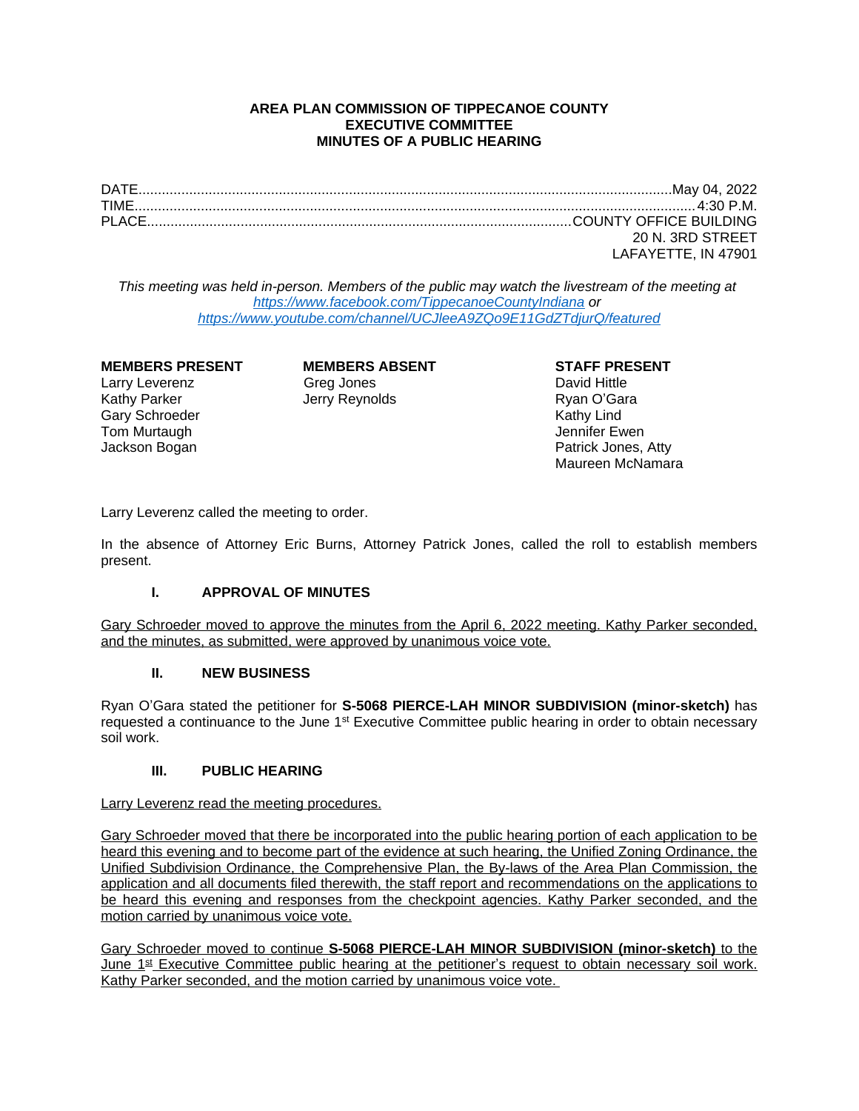# **AREA PLAN COMMISSION OF TIPPECANOE COUNTY EXECUTIVE COMMITTEE MINUTES OF A PUBLIC HEARING**

DATE.........................................................................................................................................May 04, 2022 TIME................................................................................................................................................4:30 P.M. PLACE.............................................................................................................COUNTY OFFICE BUILDING 20 N. 3RD STREET LAFAYETTE, IN 47901

*This meeting was held in-person. Members of the public may watch the livestream of the meeting at <https://www.facebook.com/TippecanoeCountyIndiana>or <https://www.youtube.com/channel/UCJleeA9ZQo9E11GdZTdjurQ/featured>*

### **MEMBERS PRESENT MEMBERS ABSENT STAFF PRESENT**

Gary Schroeder **Carry Schroeder (Education Carry Schroeder Active** Schroeder Active Schroeder Active Schroeder A<br>
Tom Murtaugh **Carry Schroeder Active Schroeder Active Schroeder Active Schroeder Active Schroeder Active Sch** Tom Murtaugh

Larry Leverenz **Calculation** Greg Jones **Calculation** David Hittle Kathy Parker Jerry Reynolds Ryan O'Gara

Jackson Bogan **Patrick Jones, Atty** Maureen McNamara

Larry Leverenz called the meeting to order.

In the absence of Attorney Eric Burns, Attorney Patrick Jones, called the roll to establish members present.

### **I. APPROVAL OF MINUTES**

Gary Schroeder moved to approve the minutes from the April 6, 2022 meeting. Kathy Parker seconded, and the minutes, as submitted, were approved by unanimous voice vote.

### **II. NEW BUSINESS**

Ryan O'Gara stated the petitioner for **S-5068 PIERCE-LAH MINOR SUBDIVISION (minor-sketch)** has requested a continuance to the June 1<sup>st</sup> Executive Committee public hearing in order to obtain necessary soil work.

### **III. PUBLIC HEARING**

Larry Leverenz read the meeting procedures.

Gary Schroeder moved that there be incorporated into the public hearing portion of each application to be heard this evening and to become part of the evidence at such hearing, the Unified Zoning Ordinance, the Unified Subdivision Ordinance, the Comprehensive Plan, the By-laws of the Area Plan Commission, the application and all documents filed therewith, the staff report and recommendations on the applications to be heard this evening and responses from the checkpoint agencies. Kathy Parker seconded, and the motion carried by unanimous voice vote.

Gary Schroeder moved to continue **S-5068 PIERCE-LAH MINOR SUBDIVISION (minor-sketch)** to the June 1<sup>st</sup> Executive Committee public hearing at the petitioner's request to obtain necessary soil work. Kathy Parker seconded, and the motion carried by unanimous voice vote.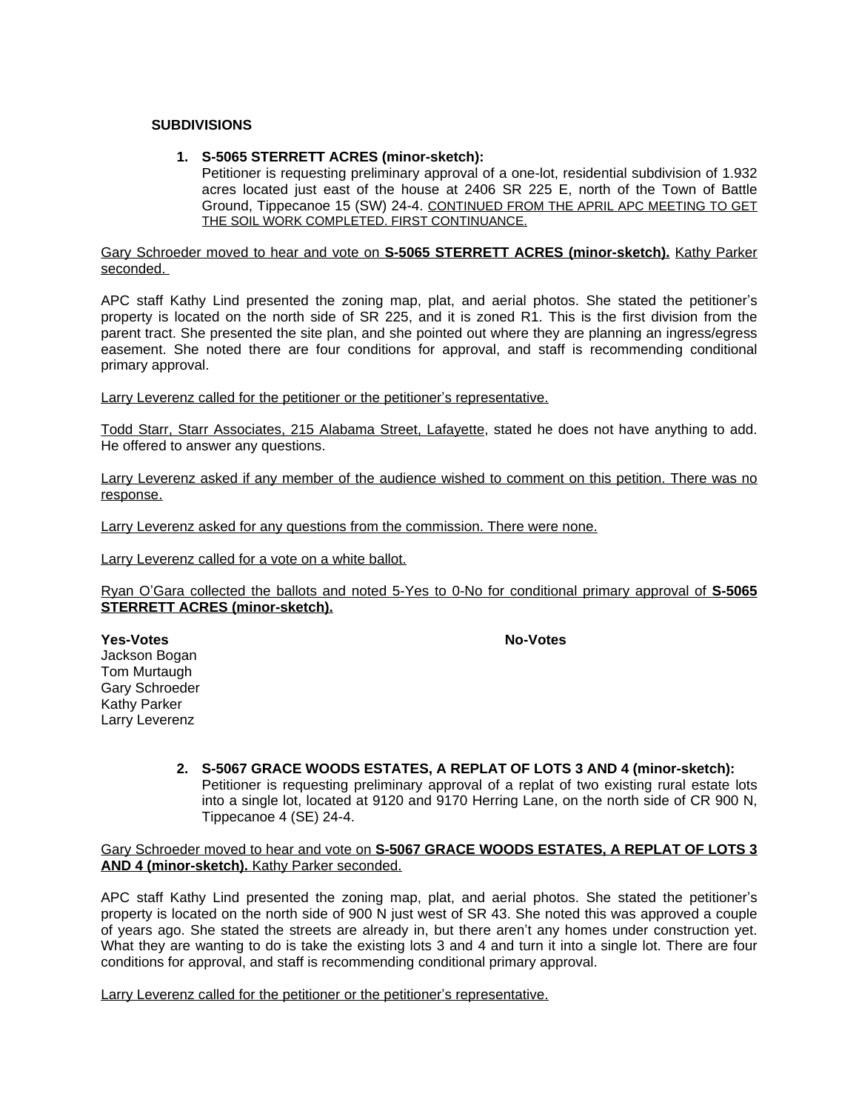### **SUBDIVISIONS**

### **1. S-5065 STERRETT ACRES (minor-sketch):**

Petitioner is requesting preliminary approval of a one-lot, residential subdivision of 1.932 acres located just east of the house at 2406 SR 225 E, north of the Town of Battle Ground, Tippecanoe 15 (SW) 24-4. CONTINUED FROM THE APRIL APC MEETING TO GET THE SOIL WORK COMPLETED. FIRST CONTINUANCE.

Gary Schroeder moved to hear and vote on **S-5065 STERRETT ACRES (minor-sketch).** Kathy Parker seconded.

APC staff Kathy Lind presented the zoning map, plat, and aerial photos. She stated the petitioner's property is located on the north side of SR 225, and it is zoned R1. This is the first division from the parent tract. She presented the site plan, and she pointed out where they are planning an ingress/egress easement. She noted there are four conditions for approval, and staff is recommending conditional primary approval.

Larry Leverenz called for the petitioner or the petitioner's representative.

Todd Starr, Starr Associates, 215 Alabama Street, Lafayette, stated he does not have anything to add. He offered to answer any questions.

Larry Leverenz asked if any member of the audience wished to comment on this petition. There was no response.

Larry Leverenz asked for any questions from the commission. There were none.

Larry Leverenz called for a vote on a white ballot.

Ryan O'Gara collected the ballots and noted 5-Yes to 0-No for conditional primary approval of **S-5065 STERRETT ACRES (minor-sketch).**

**Yes-Votes No-Votes**

Jackson Bogan Tom Murtaugh Gary Schroeder Kathy Parker Larry Leverenz

> **2. S-5067 GRACE WOODS ESTATES, A REPLAT OF LOTS 3 AND 4 (minor-sketch):** Petitioner is requesting preliminary approval of a replat of two existing rural estate lots into a single lot, located at 9120 and 9170 Herring Lane, on the north side of CR 900 N, Tippecanoe 4 (SE) 24-4.

#### Gary Schroeder moved to hear and vote on **S-5067 GRACE WOODS ESTATES, A REPLAT OF LOTS 3 AND 4 (minor-sketch).** Kathy Parker seconded.

APC staff Kathy Lind presented the zoning map, plat, and aerial photos. She stated the petitioner's property is located on the north side of 900 N just west of SR 43. She noted this was approved a couple of years ago. She stated the streets are already in, but there aren't any homes under construction yet. What they are wanting to do is take the existing lots 3 and 4 and turn it into a single lot. There are four conditions for approval, and staff is recommending conditional primary approval.

Larry Leverenz called for the petitioner or the petitioner's representative.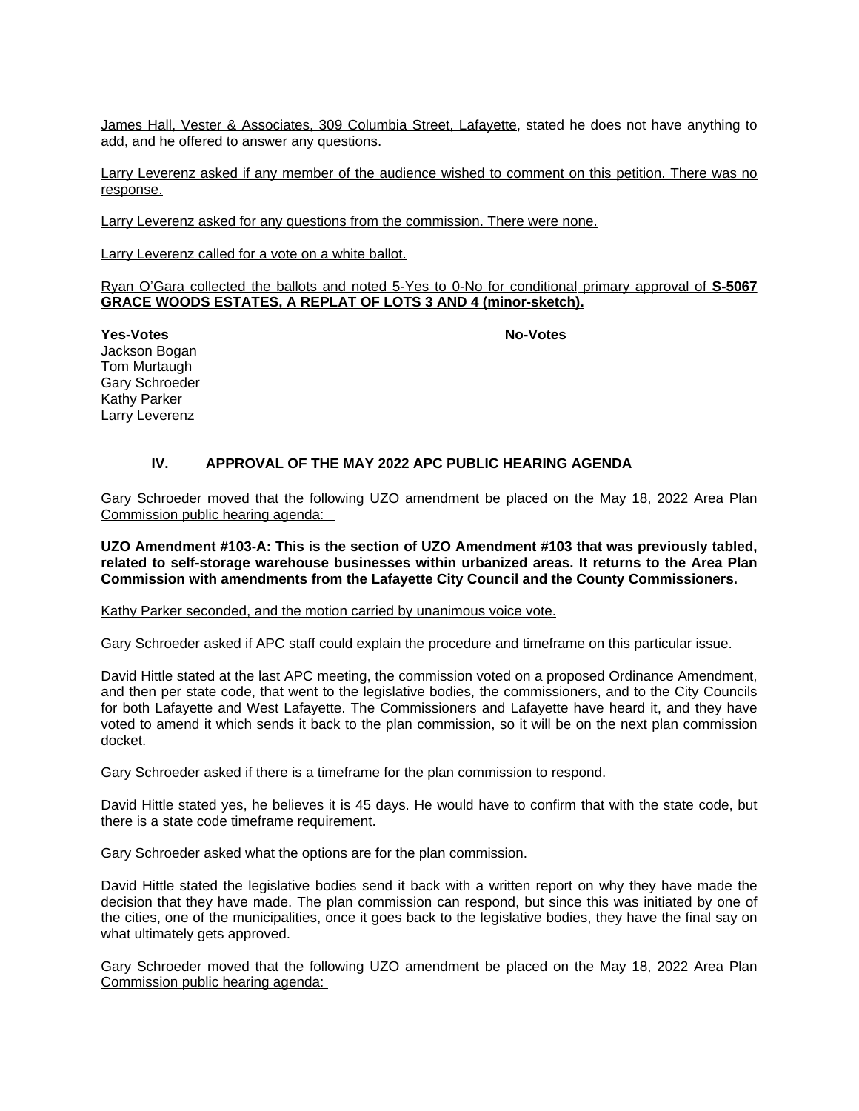James Hall, Vester & Associates, 309 Columbia Street, Lafayette, stated he does not have anything to add, and he offered to answer any questions.

Larry Leverenz asked if any member of the audience wished to comment on this petition. There was no response.

Larry Leverenz asked for any questions from the commission. There were none.

Larry Leverenz called for a vote on a white ballot.

Ryan O'Gara collected the ballots and noted 5-Yes to 0-No for conditional primary approval of **S-5067 GRACE WOODS ESTATES, A REPLAT OF LOTS 3 AND 4 (minor-sketch).**

**Yes-Votes No-Votes**

Jackson Bogan Tom Murtaugh Gary Schroeder Kathy Parker Larry Leverenz

# **IV. APPROVAL OF THE MAY 2022 APC PUBLIC HEARING AGENDA**

Gary Schroeder moved that the following UZO amendment be placed on the May 18, 2022 Area Plan Commission public hearing agenda:

**UZO Amendment #103-A: This is the section of UZO Amendment #103 that was previously tabled, related to self-storage warehouse businesses within urbanized areas. It returns to the Area Plan Commission with amendments from the Lafayette City Council and the County Commissioners.**

Kathy Parker seconded, and the motion carried by unanimous voice vote.

Gary Schroeder asked if APC staff could explain the procedure and timeframe on this particular issue.

David Hittle stated at the last APC meeting, the commission voted on a proposed Ordinance Amendment, and then per state code, that went to the legislative bodies, the commissioners, and to the City Councils for both Lafayette and West Lafayette. The Commissioners and Lafayette have heard it, and they have voted to amend it which sends it back to the plan commission, so it will be on the next plan commission docket.

Gary Schroeder asked if there is a timeframe for the plan commission to respond.

David Hittle stated yes, he believes it is 45 days. He would have to confirm that with the state code, but there is a state code timeframe requirement.

Gary Schroeder asked what the options are for the plan commission.

David Hittle stated the legislative bodies send it back with a written report on why they have made the decision that they have made. The plan commission can respond, but since this was initiated by one of the cities, one of the municipalities, once it goes back to the legislative bodies, they have the final say on what ultimately gets approved.

Gary Schroeder moved that the following UZO amendment be placed on the May 18, 2022 Area Plan Commission public hearing agenda: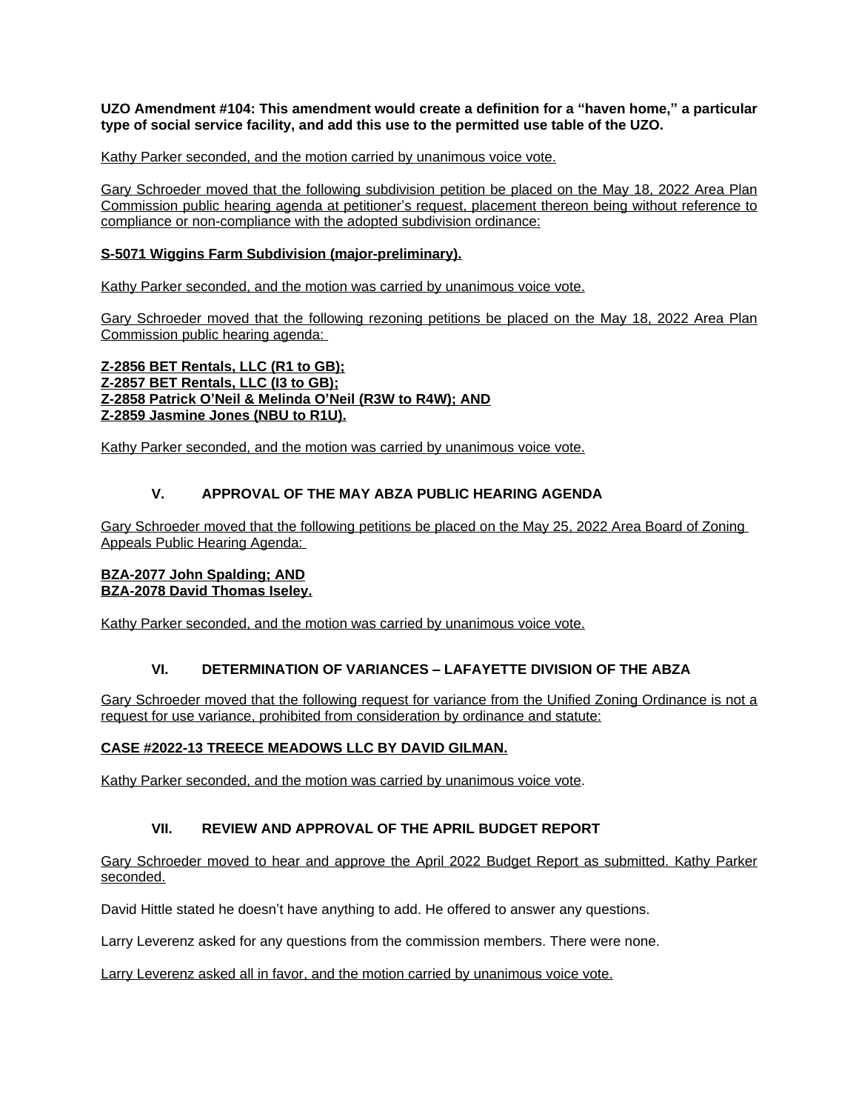**UZO Amendment #104: This amendment would create a definition for a "haven home," a particular type of social service facility, and add this use to the permitted use table of the UZO.**

Kathy Parker seconded, and the motion carried by unanimous voice vote.

Gary Schroeder moved that the following subdivision petition be placed on the May 18, 2022 Area Plan Commission public hearing agenda at petitioner's request, placement thereon being without reference to compliance or non-compliance with the adopted subdivision ordinance:

# **S-5071 Wiggins Farm Subdivision (major-preliminary).**

Kathy Parker seconded, and the motion was carried by unanimous voice vote.

Gary Schroeder moved that the following rezoning petitions be placed on the May 18, 2022 Area Plan Commission public hearing agenda:

**Z-2856 BET Rentals, LLC (R1 to GB); Z-2857 BET Rentals, LLC (I3 to GB); Z-2858 Patrick O'Neil & Melinda O'Neil (R3W to R4W); AND Z-2859 Jasmine Jones (NBU to R1U).**

Kathy Parker seconded, and the motion was carried by unanimous voice vote.

# **V. APPROVAL OF THE MAY ABZA PUBLIC HEARING AGENDA**

Gary Schroeder moved that the following petitions be placed on the May 25, 2022 Area Board of Zoning Appeals Public Hearing Agenda:

### **BZA-2077 John Spalding; AND BZA-2078 David Thomas Iseley.**

Kathy Parker seconded, and the motion was carried by unanimous voice vote.

# **VI. DETERMINATION OF VARIANCES – LAFAYETTE DIVISION OF THE ABZA**

Gary Schroeder moved that the following request for variance from the Unified Zoning Ordinance is not a request for use variance, prohibited from consideration by ordinance and statute:

# **CASE #2022-13 TREECE MEADOWS LLC BY DAVID GILMAN.**

Kathy Parker seconded, and the motion was carried by unanimous voice vote.

# **VII. REVIEW AND APPROVAL OF THE APRIL BUDGET REPORT**

Gary Schroeder moved to hear and approve the April 2022 Budget Report as submitted. Kathy Parker seconded.

David Hittle stated he doesn't have anything to add. He offered to answer any questions.

Larry Leverenz asked for any questions from the commission members. There were none.

Larry Leverenz asked all in favor, and the motion carried by unanimous voice vote.